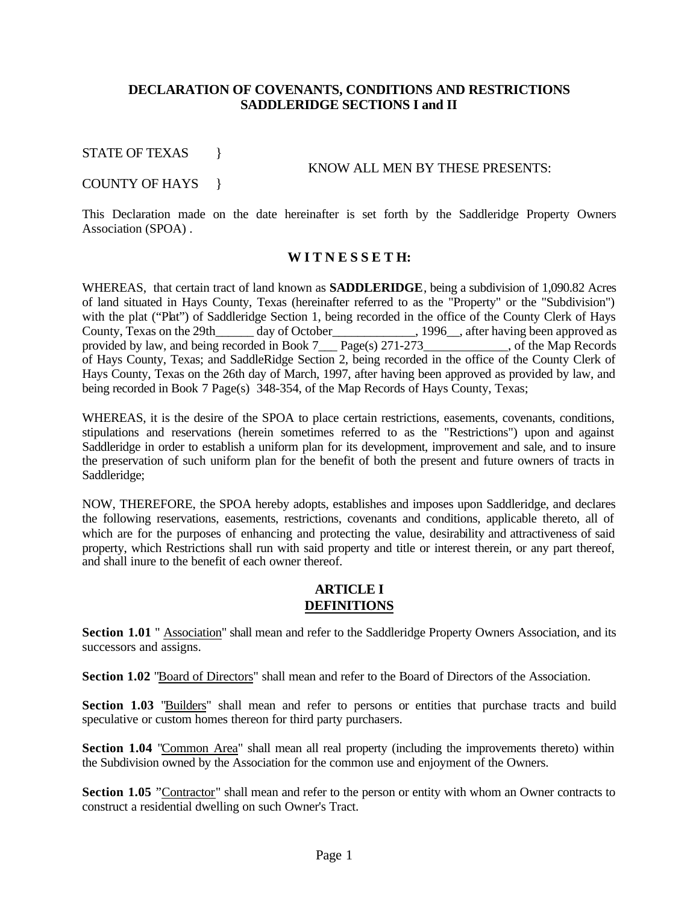## **DECLARATION OF COVENANTS, CONDITIONS AND RESTRICTIONS SADDLERIDGE SECTIONS I and II**

STATE OF TEXAS }

#### KNOW ALL MEN BY THESE PRESENTS:

#### COUNTY OF HAYS }

This Declaration made on the date hereinafter is set forth by the Saddleridge Property Owners Association (SPOA) .

### **W I T N E S S E T H:**

WHEREAS, that certain tract of land known as **SADDLERIDGE**, being a subdivision of 1,090.82 Acres of land situated in Hays County, Texas (hereinafter referred to as the "Property" or the "Subdivision") with the plat ("Plat") of Saddleridge Section 1, being recorded in the office of the County Clerk of Hays County, Texas on the 29th\_\_\_\_\_\_ day of October\_\_\_\_\_\_\_\_\_\_\_\_\_, 1996\_\_, after having been approved as provided by law, and being recorded in Book 7<sub>\_\_\_</sub> Page(s) 271-273\_\_\_\_\_\_\_\_\_\_\_\_, of the Map Records of Hays County, Texas; and SaddleRidge Section 2, being recorded in the office of the County Clerk of Hays County, Texas on the 26th day of March, 1997, after having been approved as provided by law, and being recorded in Book 7 Page(s) 348-354, of the Map Records of Hays County, Texas;

WHEREAS, it is the desire of the SPOA to place certain restrictions, easements, covenants, conditions, stipulations and reservations (herein sometimes referred to as the "Restrictions") upon and against Saddleridge in order to establish a uniform plan for its development, improvement and sale, and to insure the preservation of such uniform plan for the benefit of both the present and future owners of tracts in Saddleridge;

NOW, THEREFORE, the SPOA hereby adopts, establishes and imposes upon Saddleridge, and declares the following reservations, easements, restrictions, covenants and conditions, applicable thereto, all of which are for the purposes of enhancing and protecting the value, desirability and attractiveness of said property, which Restrictions shall run with said property and title or interest therein, or any part thereof, and shall inure to the benefit of each owner thereof.

## **ARTICLE I DEFINITIONS**

**Section 1.01** " Association" shall mean and refer to the Saddleridge Property Owners Association, and its successors and assigns.

**Section 1.02** "Board of Directors" shall mean and refer to the Board of Directors of the Association.

Section 1.03 "Builders" shall mean and refer to persons or entities that purchase tracts and build speculative or custom homes thereon for third party purchasers.

**Section 1.04** "Common Area" shall mean all real property (including the improvements thereto) within the Subdivision owned by the Association for the common use and enjoyment of the Owners.

**Section 1.05** "Contractor" shall mean and refer to the person or entity with whom an Owner contracts to construct a residential dwelling on such Owner's Tract.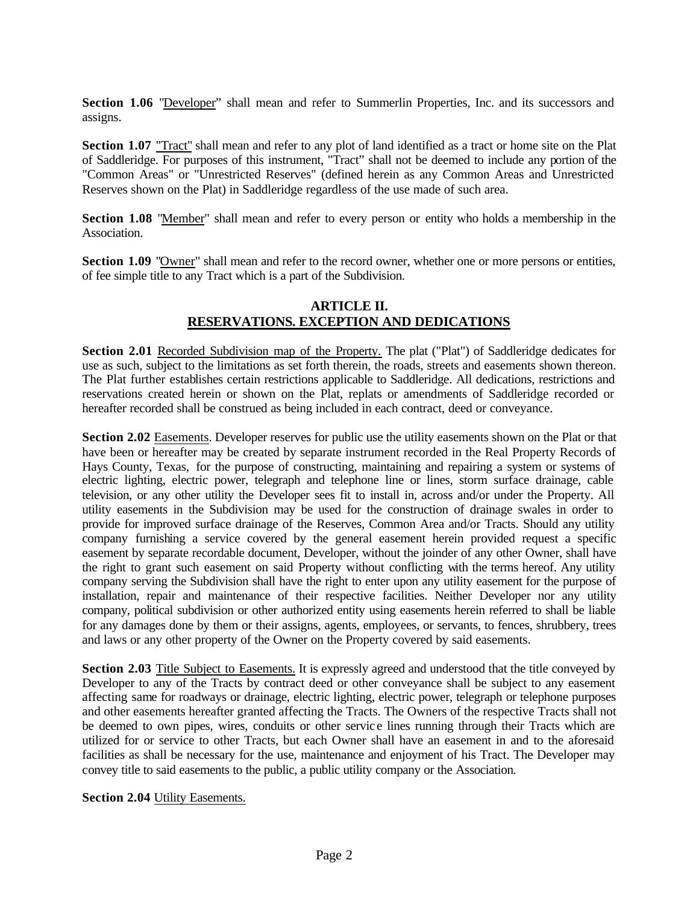**Section 1.06** "Developer" shall mean and refer to Summerlin Properties, Inc. and its successors and assigns.

**Section 1.07** "Tract" shall mean and refer to any plot of land identified as a tract or home site on the Plat of Saddleridge. For purposes of this instrument, "Tract" shall not be deemed to include any portion of the "Common Areas" or "Unrestricted Reserves" (defined herein as any Common Areas and Unrestricted Reserves shown on the Plat) in Saddleridge regardless of the use made of such area.

**Section 1.08** "Member" shall mean and refer to every person or entity who holds a membership in the Association.

**Section 1.09** "Owner" shall mean and refer to the record owner, whether one or more persons or entities, of fee simple title to any Tract which is a part of the Subdivision.

## **ARTICLE II. RESERVATIONS. EXCEPTION AND DEDICATIONS**

**Section 2.01** Recorded Subdivision map of the Property. The plat ("Plat") of Saddleridge dedicates for use as such, subject to the limitations as set forth therein, the roads, streets and easements shown thereon. The Plat further establishes certain restrictions applicable to Saddleridge. All dedications, restrictions and reservations created herein or shown on the Plat, replats or amendments of Saddleridge recorded or hereafter recorded shall be construed as being included in each contract, deed or conveyance.

**Section 2.02** Easements. Developer reserves for public use the utility easements shown on the Plat or that have been or hereafter may be created by separate instrument recorded in the Real Property Records of Hays County, Texas, for the purpose of constructing, maintaining and repairing a system or systems of electric lighting, electric power, telegraph and telephone line or lines, storm surface drainage, cable television, or any other utility the Developer sees fit to install in, across and/or under the Property. All utility easements in the Subdivision may be used for the construction of drainage swales in order to provide for improved surface drainage of the Reserves, Common Area and/or Tracts. Should any utility company furnishing a service covered by the general easement herein provided request a specific easement by separate recordable document, Developer, without the joinder of any other Owner, shall have the right to grant such easement on said Property without conflicting with the terms hereof. Any utility company serving the Subdivision shall have the right to enter upon any utility easement for the purpose of installation, repair and maintenance of their respective facilities. Neither Developer nor any utility company, political subdivision or other authorized entity using easements herein referred to shall be liable for any damages done by them or their assigns, agents, employees, or servants, to fences, shrubbery, trees and laws or any other property of the Owner on the Property covered by said easements.

**Section 2.03** Title Subject to Easements. It is expressly agreed and understood that the title conveyed by Developer to any of the Tracts by contract deed or other conveyance shall be subject to any easement affecting same for roadways or drainage, electric lighting, electric power, telegraph or telephone purposes and other easements hereafter granted affecting the Tracts. The Owners of the respective Tracts shall not be deemed to own pipes, wires, conduits or other servic e lines running through their Tracts which are utilized for or service to other Tracts, but each Owner shall have an easement in and to the aforesaid facilities as shall be necessary for the use, maintenance and enjoyment of his Tract. The Developer may convey title to said easements to the public, a public utility company or the Association.

**Section 2.04** Utility Easements.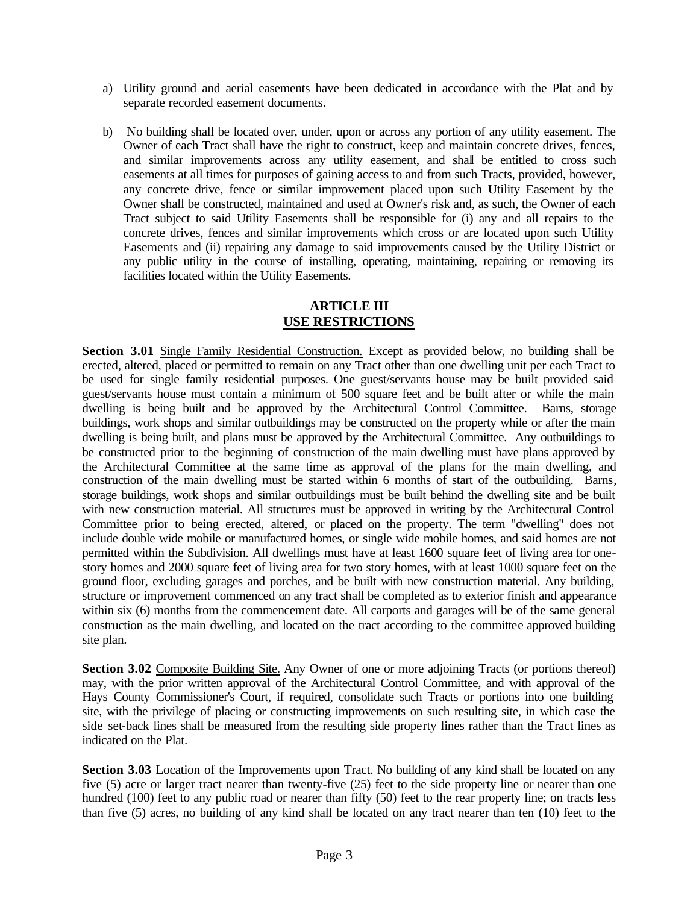- a) Utility ground and aerial easements have been dedicated in accordance with the Plat and by separate recorded easement documents.
- b) No building shall be located over, under, upon or across any portion of any utility easement. The Owner of each Tract shall have the right to construct, keep and maintain concrete drives, fences, and similar improvements across any utility easement, and shall be entitled to cross such easements at all times for purposes of gaining access to and from such Tracts, provided, however, any concrete drive, fence or similar improvement placed upon such Utility Easement by the Owner shall be constructed, maintained and used at Owner's risk and, as such, the Owner of each Tract subject to said Utility Easements shall be responsible for (i) any and all repairs to the concrete drives, fences and similar improvements which cross or are located upon such Utility Easements and (ii) repairing any damage to said improvements caused by the Utility District or any public utility in the course of installing, operating, maintaining, repairing or removing its facilities located within the Utility Easements.

## **ARTICLE III USE RESTRICTIONS**

**Section 3.01** Single Family Residential Construction. Except as provided below, no building shall be erected, altered, placed or permitted to remain on any Tract other than one dwelling unit per each Tract to be used for single family residential purposes. One guest/servants house may be built provided said guest/servants house must contain a minimum of 500 square feet and be built after or while the main dwelling is being built and be approved by the Architectural Control Committee. Barns, storage buildings, work shops and similar outbuildings may be constructed on the property while or after the main dwelling is being built, and plans must be approved by the Architectural Committee. Any outbuildings to be constructed prior to the beginning of construction of the main dwelling must have plans approved by the Architectural Committee at the same time as approval of the plans for the main dwelling, and construction of the main dwelling must be started within 6 months of start of the outbuilding. Barns, storage buildings, work shops and similar outbuildings must be built behind the dwelling site and be built with new construction material. All structures must be approved in writing by the Architectural Control Committee prior to being erected, altered, or placed on the property. The term "dwelling" does not include double wide mobile or manufactured homes, or single wide mobile homes, and said homes are not permitted within the Subdivision. All dwellings must have at least 1600 square feet of living area for onestory homes and 2000 square feet of living area for two story homes, with at least 1000 square feet on the ground floor, excluding garages and porches, and be built with new construction material. Any building, structure or improvement commenced on any tract shall be completed as to exterior finish and appearance within six (6) months from the commencement date. All carports and garages will be of the same general construction as the main dwelling, and located on the tract according to the committee approved building site plan.

**Section 3.02** Composite Building Site. Any Owner of one or more adjoining Tracts (or portions thereof) may, with the prior written approval of the Architectural Control Committee, and with approval of the Hays County Commissioner's Court, if required, consolidate such Tracts or portions into one building site, with the privilege of placing or constructing improvements on such resulting site, in which case the side set-back lines shall be measured from the resulting side property lines rather than the Tract lines as indicated on the Plat.

**Section 3.03** Location of the Improvements upon Tract. No building of any kind shall be located on any five (5) acre or larger tract nearer than twenty-five (25) feet to the side property line or nearer than one hundred (100) feet to any public road or nearer than fifty (50) feet to the rear property line; on tracts less than five (5) acres, no building of any kind shall be located on any tract nearer than ten (10) feet to the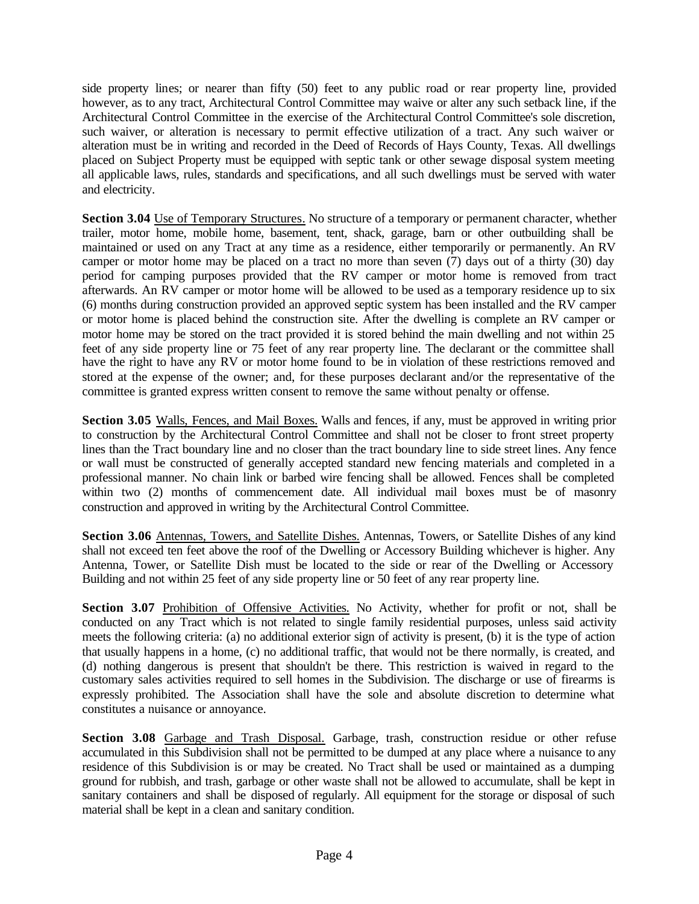side property lines; or nearer than fifty (50) feet to any public road or rear property line, provided however, as to any tract, Architectural Control Committee may waive or alter any such setback line, if the Architectural Control Committee in the exercise of the Architectural Control Committee's sole discretion, such waiver, or alteration is necessary to permit effective utilization of a tract. Any such waiver or alteration must be in writing and recorded in the Deed of Records of Hays County, Texas. All dwellings placed on Subject Property must be equipped with septic tank or other sewage disposal system meeting all applicable laws, rules, standards and specifications, and all such dwellings must be served with water and electricity.

**Section 3.04** Use of Temporary Structures. No structure of a temporary or permanent character, whether trailer, motor home, mobile home, basement, tent, shack, garage, barn or other outbuilding shall be maintained or used on any Tract at any time as a residence, either temporarily or permanently. An RV camper or motor home may be placed on a tract no more than seven (7) days out of a thirty (30) day period for camping purposes provided that the RV camper or motor home is removed from tract afterwards. An RV camper or motor home will be allowed to be used as a temporary residence up to six (6) months during construction provided an approved septic system has been installed and the RV camper or motor home is placed behind the construction site. After the dwelling is complete an RV camper or motor home may be stored on the tract provided it is stored behind the main dwelling and not within 25 feet of any side property line or 75 feet of any rear property line. The declarant or the committee shall have the right to have any RV or motor home found to be in violation of these restrictions removed and stored at the expense of the owner; and, for these purposes declarant and/or the representative of the committee is granted express written consent to remove the same without penalty or offense.

Section 3.05 Walls, Fences, and Mail Boxes. Walls and fences, if any, must be approved in writing prior to construction by the Architectural Control Committee and shall not be closer to front street property lines than the Tract boundary line and no closer than the tract boundary line to side street lines. Any fence or wall must be constructed of generally accepted standard new fencing materials and completed in a professional manner. No chain link or barbed wire fencing shall be allowed. Fences shall be completed within two (2) months of commencement date. All individual mail boxes must be of masonry construction and approved in writing by the Architectural Control Committee.

**Section 3.06** Antennas, Towers, and Satellite Dishes. Antennas, Towers, or Satellite Dishes of any kind shall not exceed ten feet above the roof of the Dwelling or Accessory Building whichever is higher. Any Antenna, Tower, or Satellite Dish must be located to the side or rear of the Dwelling or Accessory Building and not within 25 feet of any side property line or 50 feet of any rear property line.

Section 3.07 Prohibition of Offensive Activities. No Activity, whether for profit or not, shall be conducted on any Tract which is not related to single family residential purposes, unless said activity meets the following criteria: (a) no additional exterior sign of activity is present, (b) it is the type of action that usually happens in a home, (c) no additional traffic, that would not be there normally, is created, and (d) nothing dangerous is present that shouldn't be there. This restriction is waived in regard to the customary sales activities required to sell homes in the Subdivision. The discharge or use of firearms is expressly prohibited. The Association shall have the sole and absolute discretion to determine what constitutes a nuisance or annoyance.

**Section 3.08** Garbage and Trash Disposal. Garbage, trash, construction residue or other refuse accumulated in this Subdivision shall not be permitted to be dumped at any place where a nuisance to any residence of this Subdivision is or may be created. No Tract shall be used or maintained as a dumping ground for rubbish, and trash, garbage or other waste shall not be allowed to accumulate, shall be kept in sanitary containers and shall be disposed of regularly. All equipment for the storage or disposal of such material shall be kept in a clean and sanitary condition.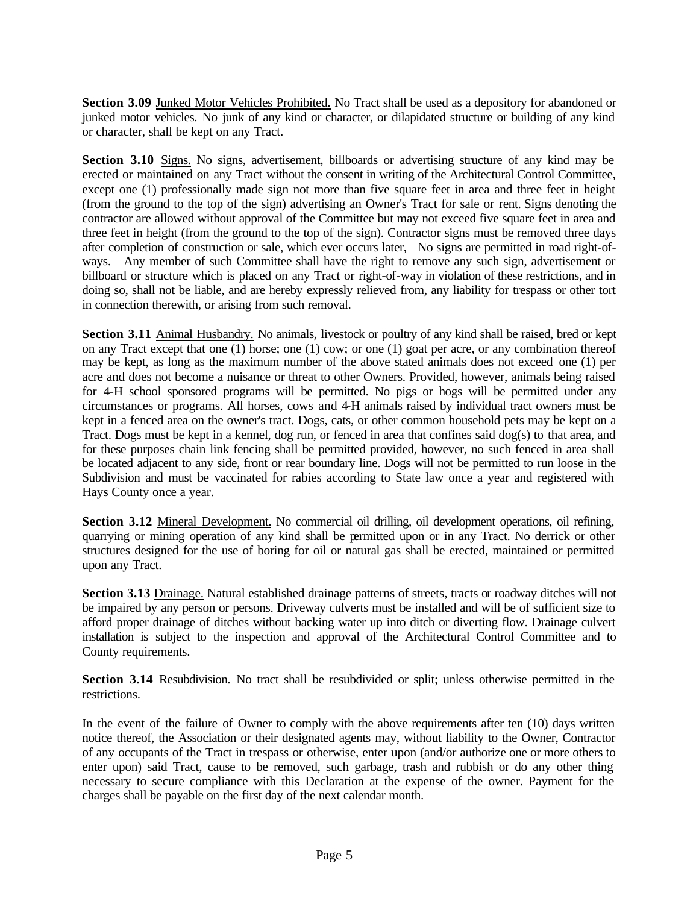**Section 3.09** Junked Motor Vehicles Prohibited. No Tract shall be used as a depository for abandoned or junked motor vehicles. No junk of any kind or character, or dilapidated structure or building of any kind or character, shall be kept on any Tract.

**Section 3.10** Signs. No signs, advertisement, billboards or advertising structure of any kind may be erected or maintained on any Tract without the consent in writing of the Architectural Control Committee, except one (1) professionally made sign not more than five square feet in area and three feet in height (from the ground to the top of the sign) advertising an Owner's Tract for sale or rent. Signs denoting the contractor are allowed without approval of the Committee but may not exceed five square feet in area and three feet in height (from the ground to the top of the sign). Contractor signs must be removed three days after completion of construction or sale, which ever occurs later, No signs are permitted in road right-ofways. Any member of such Committee shall have the right to remove any such sign, advertisement or billboard or structure which is placed on any Tract or right-of-way in violation of these restrictions, and in doing so, shall not be liable, and are hereby expressly relieved from, any liability for trespass or other tort in connection therewith, or arising from such removal.

**Section 3.11** Animal Husbandry. No animals, livestock or poultry of any kind shall be raised, bred or kept on any Tract except that one (1) horse; one (1) cow; or one (1) goat per acre, or any combination thereof may be kept, as long as the maximum number of the above stated animals does not exceed one (1) per acre and does not become a nuisance or threat to other Owners. Provided, however, animals being raised for 4-H school sponsored programs will be permitted. No pigs or hogs will be permitted under any circumstances or programs. All horses, cows and 4-H animals raised by individual tract owners must be kept in a fenced area on the owner's tract. Dogs, cats, or other common household pets may be kept on a Tract. Dogs must be kept in a kennel, dog run, or fenced in area that confines said dog(s) to that area, and for these purposes chain link fencing shall be permitted provided, however, no such fenced in area shall be located adjacent to any side, front or rear boundary line. Dogs will not be permitted to run loose in the Subdivision and must be vaccinated for rabies according to State law once a year and registered with Hays County once a year.

**Section 3.12** Mineral Development. No commercial oil drilling, oil development operations, oil refining, quarrying or mining operation of any kind shall be permitted upon or in any Tract. No derrick or other structures designed for the use of boring for oil or natural gas shall be erected, maintained or permitted upon any Tract.

**Section 3.13** Drainage. Natural established drainage patterns of streets, tracts or roadway ditches will not be impaired by any person or persons. Driveway culverts must be installed and will be of sufficient size to afford proper drainage of ditches without backing water up into ditch or diverting flow. Drainage culvert installation is subject to the inspection and approval of the Architectural Control Committee and to County requirements.

**Section 3.14** Resubdivision. No tract shall be resubdivided or split; unless otherwise permitted in the restrictions.

In the event of the failure of Owner to comply with the above requirements after ten (10) days written notice thereof, the Association or their designated agents may, without liability to the Owner, Contractor of any occupants of the Tract in trespass or otherwise, enter upon (and/or authorize one or more others to enter upon) said Tract, cause to be removed, such garbage, trash and rubbish or do any other thing necessary to secure compliance with this Declaration at the expense of the owner. Payment for the charges shall be payable on the first day of the next calendar month.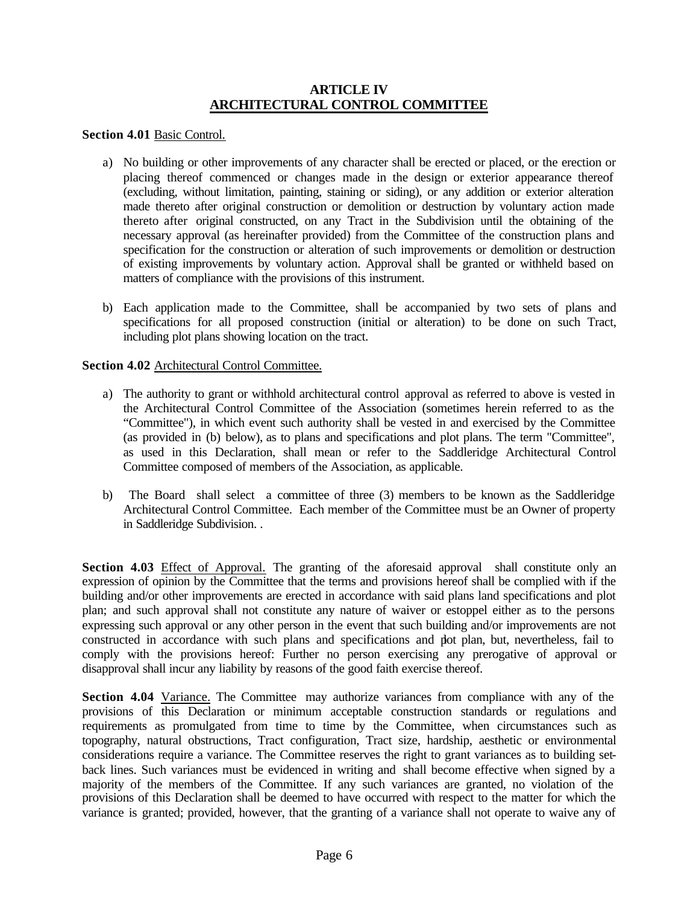## **ARTICLE IV ARCHITECTURAL CONTROL COMMITTEE**

### **Section 4.01** Basic Control.

- a) No building or other improvements of any character shall be erected or placed, or the erection or placing thereof commenced or changes made in the design or exterior appearance thereof (excluding, without limitation, painting, staining or siding), or any addition or exterior alteration made thereto after original construction or demolition or destruction by voluntary action made thereto after original constructed, on any Tract in the Subdivision until the obtaining of the necessary approval (as hereinafter provided) from the Committee of the construction plans and specification for the construction or alteration of such improvements or demolition or destruction of existing improvements by voluntary action. Approval shall be granted or withheld based on matters of compliance with the provisions of this instrument.
- b) Each application made to the Committee, shall be accompanied by two sets of plans and specifications for all proposed construction (initial or alteration) to be done on such Tract, including plot plans showing location on the tract.

### **Section 4.02** Architectural Control Committee.

- a) The authority to grant or withhold architectural control approval as referred to above is vested in the Architectural Control Committee of the Association (sometimes herein referred to as the "Committee"), in which event such authority shall be vested in and exercised by the Committee (as provided in (b) below), as to plans and specifications and plot plans. The term "Committee", as used in this Declaration, shall mean or refer to the Saddleridge Architectural Control Committee composed of members of the Association, as applicable.
- b) The Board shall select a committee of three (3) members to be known as the Saddleridge Architectural Control Committee. Each member of the Committee must be an Owner of property in Saddleridge Subdivision. .

Section 4.03 Effect of Approval. The granting of the aforesaid approval shall constitute only an expression of opinion by the Committee that the terms and provisions hereof shall be complied with if the building and/or other improvements are erected in accordance with said plans land specifications and plot plan; and such approval shall not constitute any nature of waiver or estoppel either as to the persons expressing such approval or any other person in the event that such building and/or improvements are not constructed in accordance with such plans and specifications and plot plan, but, nevertheless, fail to comply with the provisions hereof: Further no person exercising any prerogative of approval or disapproval shall incur any liability by reasons of the good faith exercise thereof.

Section 4.04 Variance. The Committee may authorize variances from compliance with any of the provisions of this Declaration or minimum acceptable construction standards or regulations and requirements as promulgated from time to time by the Committee, when circumstances such as topography, natural obstructions, Tract configuration, Tract size, hardship, aesthetic or environmental considerations require a variance. The Committee reserves the right to grant variances as to building setback lines. Such variances must be evidenced in writing and shall become effective when signed by a majority of the members of the Committee. If any such variances are granted, no violation of the provisions of this Declaration shall be deemed to have occurred with respect to the matter for which the variance is granted; provided, however, that the granting of a variance shall not operate to waive any of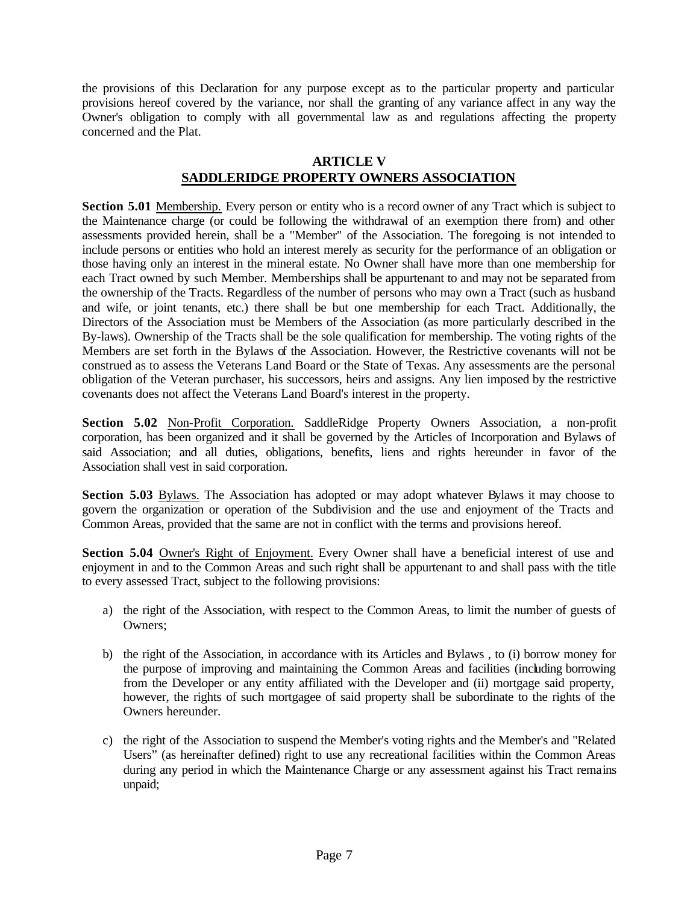the provisions of this Declaration for any purpose except as to the particular property and particular provisions hereof covered by the variance, nor shall the granting of any variance affect in any way the Owner's obligation to comply with all governmental law as and regulations affecting the property concerned and the Plat.

## **ARTICLE V**

# **SADDLERIDGE PROPERTY OWNERS ASSOCIATION**

**Section 5.01** Membership. Every person or entity who is a record owner of any Tract which is subject to the Maintenance charge (or could be following the withdrawal of an exemption there from) and other assessments provided herein, shall be a "Member" of the Association. The foregoing is not intended to include persons or entities who hold an interest merely as security for the performance of an obligation or those having only an interest in the mineral estate. No Owner shall have more than one membership for each Tract owned by such Member. Memberships shall be appurtenant to and may not be separated from the ownership of the Tracts. Regardless of the number of persons who may own a Tract (such as husband and wife, or joint tenants, etc.) there shall be but one membership for each Tract. Additionally, the Directors of the Association must be Members of the Association (as more particularly described in the By-laws). Ownership of the Tracts shall be the sole qualification for membership. The voting rights of the Members are set forth in the Bylaws of the Association. However, the Restrictive covenants will not be construed as to assess the Veterans Land Board or the State of Texas. Any assessments are the personal obligation of the Veteran purchaser, his successors, heirs and assigns. Any lien imposed by the restrictive covenants does not affect the Veterans Land Board's interest in the property.

**Section 5.02** Non-Profit Corporation. SaddleRidge Property Owners Association, a non-profit corporation, has been organized and it shall be governed by the Articles of Incorporation and Bylaws of said Association; and all duties, obligations, benefits, liens and rights hereunder in favor of the Association shall vest in said corporation.

**Section 5.03** Bylaws. The Association has adopted or may adopt whatever Bylaws it may choose to govern the organization or operation of the Subdivision and the use and enjoyment of the Tracts and Common Areas, provided that the same are not in conflict with the terms and provisions hereof.

**Section 5.04** Owner's Right of Enjoyment. Every Owner shall have a beneficial interest of use and enjoyment in and to the Common Areas and such right shall be appurtenant to and shall pass with the title to every assessed Tract, subject to the following provisions:

- a) the right of the Association, with respect to the Common Areas, to limit the number of guests of Owners;
- b) the right of the Association, in accordance with its Articles and Bylaws , to (i) borrow money for the purpose of improving and maintaining the Common Areas and facilities (including borrowing from the Developer or any entity affiliated with the Developer and (ii) mortgage said property, however, the rights of such mortgagee of said property shall be subordinate to the rights of the Owners hereunder.
- c) the right of the Association to suspend the Member's voting rights and the Member's and "Related Users" (as hereinafter defined) right to use any recreational facilities within the Common Areas during any period in which the Maintenance Charge or any assessment against his Tract remains unpaid;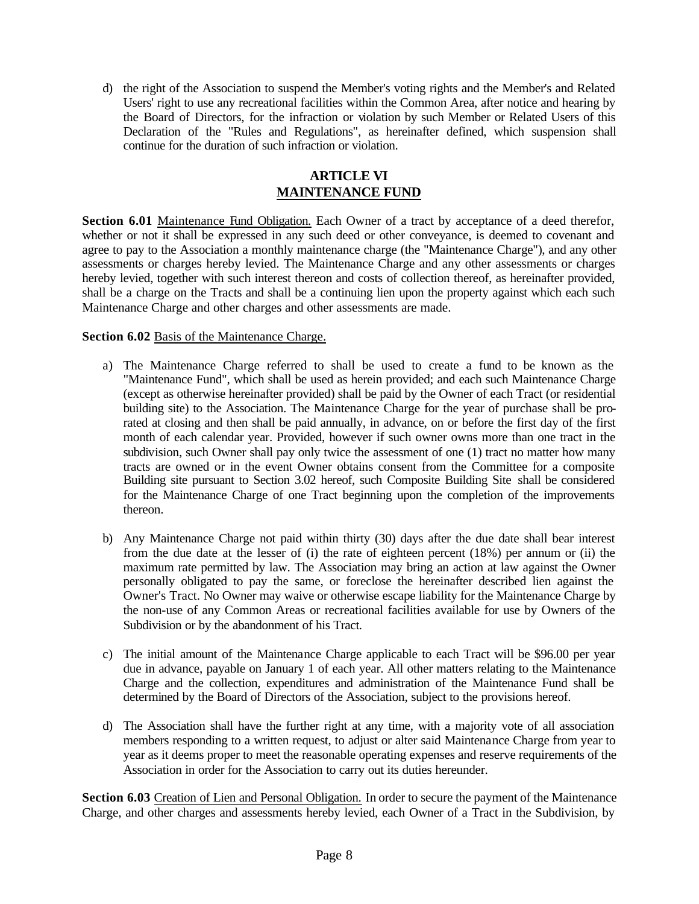d) the right of the Association to suspend the Member's voting rights and the Member's and Related Users' right to use any recreational facilities within the Common Area, after notice and hearing by the Board of Directors, for the infraction or violation by such Member or Related Users of this Declaration of the "Rules and Regulations", as hereinafter defined, which suspension shall continue for the duration of such infraction or violation.

# **ARTICLE VI MAINTENANCE FUND**

**Section 6.01** Maintenance Fund Obligation. Each Owner of a tract by acceptance of a deed therefor, whether or not it shall be expressed in any such deed or other conveyance, is deemed to covenant and agree to pay to the Association a monthly maintenance charge (the "Maintenance Charge"), and any other assessments or charges hereby levied. The Maintenance Charge and any other assessments or charges hereby levied, together with such interest thereon and costs of collection thereof, as hereinafter provided, shall be a charge on the Tracts and shall be a continuing lien upon the property against which each such Maintenance Charge and other charges and other assessments are made.

## **Section 6.02** Basis of the Maintenance Charge.

- a) The Maintenance Charge referred to shall be used to create a fund to be known as the "Maintenance Fund", which shall be used as herein provided; and each such Maintenance Charge (except as otherwise hereinafter provided) shall be paid by the Owner of each Tract (or residential building site) to the Association. The Maintenance Charge for the year of purchase shall be prorated at closing and then shall be paid annually, in advance, on or before the first day of the first month of each calendar year. Provided, however if such owner owns more than one tract in the subdivision, such Owner shall pay only twice the assessment of one (1) tract no matter how many tracts are owned or in the event Owner obtains consent from the Committee for a composite Building site pursuant to Section 3.02 hereof, such Composite Building Site shall be considered for the Maintenance Charge of one Tract beginning upon the completion of the improvements thereon.
- b) Any Maintenance Charge not paid within thirty (30) days after the due date shall bear interest from the due date at the lesser of (i) the rate of eighteen percent (18%) per annum or (ii) the maximum rate permitted by law. The Association may bring an action at law against the Owner personally obligated to pay the same, or foreclose the hereinafter described lien against the Owner's Tract. No Owner may waive or otherwise escape liability for the Maintenance Charge by the non-use of any Common Areas or recreational facilities available for use by Owners of the Subdivision or by the abandonment of his Tract.
- c) The initial amount of the Maintenance Charge applicable to each Tract will be \$96.00 per year due in advance, payable on January 1 of each year. All other matters relating to the Maintenance Charge and the collection, expenditures and administration of the Maintenance Fund shall be determined by the Board of Directors of the Association, subject to the provisions hereof.
- d) The Association shall have the further right at any time, with a majority vote of all association members responding to a written request, to adjust or alter said Maintenance Charge from year to year as it deems proper to meet the reasonable operating expenses and reserve requirements of the Association in order for the Association to carry out its duties hereunder.

**Section 6.03** Creation of Lien and Personal Obligation. In order to secure the payment of the Maintenance Charge, and other charges and assessments hereby levied, each Owner of a Tract in the Subdivision, by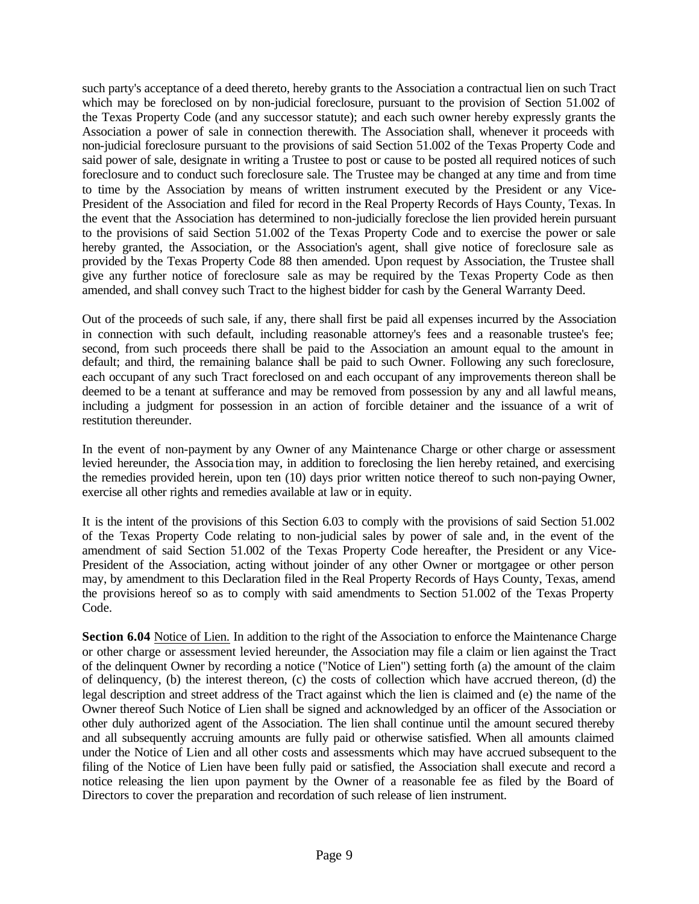such party's acceptance of a deed thereto, hereby grants to the Association a contractual lien on such Tract which may be foreclosed on by non-judicial foreclosure, pursuant to the provision of Section 51.002 of the Texas Property Code (and any successor statute); and each such owner hereby expressly grants the Association a power of sale in connection therewith. The Association shall, whenever it proceeds with non-judicial foreclosure pursuant to the provisions of said Section 51.002 of the Texas Property Code and said power of sale, designate in writing a Trustee to post or cause to be posted all required notices of such foreclosure and to conduct such foreclosure sale. The Trustee may be changed at any time and from time to time by the Association by means of written instrument executed by the President or any Vice-President of the Association and filed for record in the Real Property Records of Hays County, Texas. In the event that the Association has determined to non-judicially foreclose the lien provided herein pursuant to the provisions of said Section 51.002 of the Texas Property Code and to exercise the power or sale hereby granted, the Association, or the Association's agent, shall give notice of foreclosure sale as provided by the Texas Property Code 88 then amended. Upon request by Association, the Trustee shall give any further notice of foreclosure sale as may be required by the Texas Property Code as then amended, and shall convey such Tract to the highest bidder for cash by the General Warranty Deed.

Out of the proceeds of such sale, if any, there shall first be paid all expenses incurred by the Association in connection with such default, including reasonable attorney's fees and a reasonable trustee's fee; second, from such proceeds there shall be paid to the Association an amount equal to the amount in default; and third, the remaining balance shall be paid to such Owner. Following any such foreclosure, each occupant of any such Tract foreclosed on and each occupant of any improvements thereon shall be deemed to be a tenant at sufferance and may be removed from possession by any and all lawful means, including a judgment for possession in an action of forcible detainer and the issuance of a writ of restitution thereunder.

In the event of non-payment by any Owner of any Maintenance Charge or other charge or assessment levied hereunder, the Associa tion may, in addition to foreclosing the lien hereby retained, and exercising the remedies provided herein, upon ten (10) days prior written notice thereof to such non-paying Owner, exercise all other rights and remedies available at law or in equity.

It is the intent of the provisions of this Section 6.03 to comply with the provisions of said Section 51.002 of the Texas Property Code relating to non-judicial sales by power of sale and, in the event of the amendment of said Section 51.002 of the Texas Property Code hereafter, the President or any Vice-President of the Association, acting without joinder of any other Owner or mortgagee or other person may, by amendment to this Declaration filed in the Real Property Records of Hays County, Texas, amend the provisions hereof so as to comply with said amendments to Section 51.002 of the Texas Property Code.

Section 6.04 Notice of Lien. In addition to the right of the Association to enforce the Maintenance Charge or other charge or assessment levied hereunder, the Association may file a claim or lien against the Tract of the delinquent Owner by recording a notice ("Notice of Lien") setting forth (a) the amount of the claim of delinquency, (b) the interest thereon, (c) the costs of collection which have accrued thereon, (d) the legal description and street address of the Tract against which the lien is claimed and (e) the name of the Owner thereof Such Notice of Lien shall be signed and acknowledged by an officer of the Association or other duly authorized agent of the Association. The lien shall continue until the amount secured thereby and all subsequently accruing amounts are fully paid or otherwise satisfied. When all amounts claimed under the Notice of Lien and all other costs and assessments which may have accrued subsequent to the filing of the Notice of Lien have been fully paid or satisfied, the Association shall execute and record a notice releasing the lien upon payment by the Owner of a reasonable fee as filed by the Board of Directors to cover the preparation and recordation of such release of lien instrument.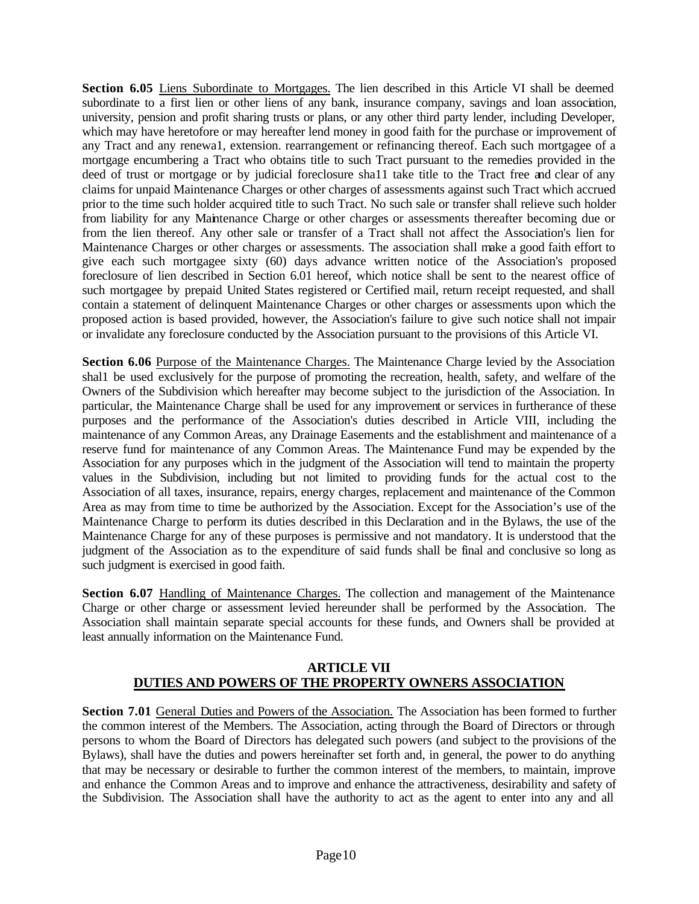Section 6.05 Liens Subordinate to Mortgages. The lien described in this Article VI shall be deemed subordinate to a first lien or other liens of any bank, insurance company, savings and loan association, university, pension and profit sharing trusts or plans, or any other third party lender, including Developer, which may have heretofore or may hereafter lend money in good faith for the purchase or improvement of any Tract and any renewa1, extension. rearrangement or refinancing thereof. Each such mortgagee of a mortgage encumbering a Tract who obtains title to such Tract pursuant to the remedies provided in the deed of trust or mortgage or by judicial foreclosure sha11 take title to the Tract free and clear of any claims for unpaid Maintenance Charges or other charges of assessments against such Tract which accrued prior to the time such holder acquired title to such Tract. No such sale or transfer shall relieve such holder from liability for any Maintenance Charge or other charges or assessments thereafter becoming due or from the lien thereof. Any other sale or transfer of a Tract shall not affect the Association's lien for Maintenance Charges or other charges or assessments. The association shall make a good faith effort to give each such mortgagee sixty (60) days advance written notice of the Association's proposed foreclosure of lien described in Section 6.01 hereof, which notice shall be sent to the nearest office of such mortgagee by prepaid United States registered or Certified mail, return receipt requested, and shall contain a statement of delinquent Maintenance Charges or other charges or assessments upon which the proposed action is based provided, however, the Association's failure to give such notice shall not impair or invalidate any foreclosure conducted by the Association pursuant to the provisions of this Article VI.

**Section 6.06** Purpose of the Maintenance Charges. The Maintenance Charge levied by the Association shal1 be used exclusively for the purpose of promoting the recreation, health, safety, and welfare of the Owners of the Subdivision which hereafter may become subject to the jurisdiction of the Association. In particular, the Maintenance Charge shall be used for any improvement or services in furtherance of these purposes and the performance of the Association's duties described in Article VIII, including the maintenance of any Common Areas, any Drainage Easements and the establishment and maintenance of a reserve fund for maintenance of any Common Areas. The Maintenance Fund may be expended by the Association for any purposes which in the judgment of the Association will tend to maintain the property values in the Subdivision, including but not limited to providing funds for the actual cost to the Association of all taxes, insurance, repairs, energy charges, replacement and maintenance of the Common Area as may from time to time be authorized by the Association. Except for the Association's use of the Maintenance Charge to perform its duties described in this Declaration and in the Bylaws, the use of the Maintenance Charge for any of these purposes is permissive and not mandatory. It is understood that the judgment of the Association as to the expenditure of said funds shall be final and conclusive so long as such judgment is exercised in good faith.

**Section 6.07** Handling of Maintenance Charges. The collection and management of the Maintenance Charge or other charge or assessment levied hereunder shall be performed by the Association. The Association shall maintain separate special accounts for these funds, and Owners shall be provided at least annually information on the Maintenance Fund.

# **ARTICLE VII DUTIES AND POWERS OF THE PROPERTY OWNERS ASSOCIATION**

**Section 7.01** General Duties and Powers of the Association. The Association has been formed to further the common interest of the Members. The Association, acting through the Board of Directors or through persons to whom the Board of Directors has delegated such powers (and subject to the provisions of the Bylaws), shall have the duties and powers hereinafter set forth and, in general, the power to do anything that may be necessary or desirable to further the common interest of the members, to maintain, improve and enhance the Common Areas and to improve and enhance the attractiveness, desirability and safety of the Subdivision. The Association shall have the authority to act as the agent to enter into any and all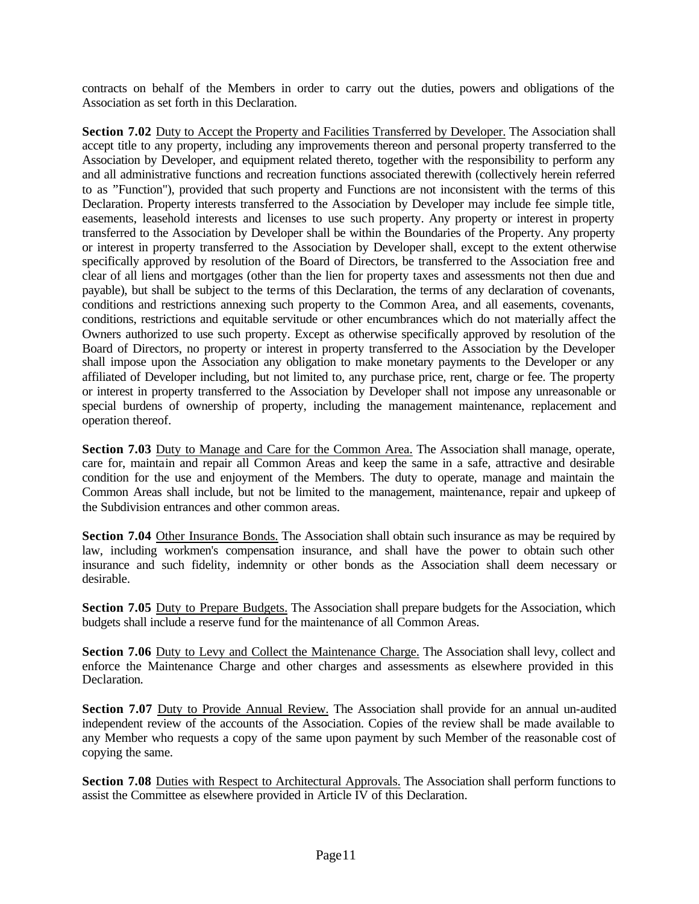contracts on behalf of the Members in order to carry out the duties, powers and obligations of the Association as set forth in this Declaration.

**Section 7.02** Duty to Accept the Property and Facilities Transferred by Developer. The Association shall accept title to any property, including any improvements thereon and personal property transferred to the Association by Developer, and equipment related thereto, together with the responsibility to perform any and all administrative functions and recreation functions associated therewith (collectively herein referred to as "Function"), provided that such property and Functions are not inconsistent with the terms of this Declaration. Property interests transferred to the Association by Developer may include fee simple title, easements, leasehold interests and licenses to use such property. Any property or interest in property transferred to the Association by Developer shall be within the Boundaries of the Property. Any property or interest in property transferred to the Association by Developer shall, except to the extent otherwise specifically approved by resolution of the Board of Directors, be transferred to the Association free and clear of all liens and mortgages (other than the lien for property taxes and assessments not then due and payable), but shall be subject to the terms of this Declaration, the terms of any declaration of covenants, conditions and restrictions annexing such property to the Common Area, and all easements, covenants, conditions, restrictions and equitable servitude or other encumbrances which do not materially affect the Owners authorized to use such property. Except as otherwise specifically approved by resolution of the Board of Directors, no property or interest in property transferred to the Association by the Developer shall impose upon the Association any obligation to make monetary payments to the Developer or any affiliated of Developer including, but not limited to, any purchase price, rent, charge or fee. The property or interest in property transferred to the Association by Developer shall not impose any unreasonable or special burdens of ownership of property, including the management maintenance, replacement and operation thereof.

**Section 7.03** Duty to Manage and Care for the Common Area. The Association shall manage, operate, care for, maintain and repair all Common Areas and keep the same in a safe, attractive and desirable condition for the use and enjoyment of the Members. The duty to operate, manage and maintain the Common Areas shall include, but not be limited to the management, maintenance, repair and upkeep of the Subdivision entrances and other common areas.

**Section 7.04** Other Insurance Bonds. The Association shall obtain such insurance as may be required by law, including workmen's compensation insurance, and shall have the power to obtain such other insurance and such fidelity, indemnity or other bonds as the Association shall deem necessary or desirable.

**Section 7.05** Duty to Prepare Budgets. The Association shall prepare budgets for the Association, which budgets shall include a reserve fund for the maintenance of all Common Areas.

**Section 7.06** Duty to Levy and Collect the Maintenance Charge. The Association shall levy, collect and enforce the Maintenance Charge and other charges and assessments as elsewhere provided in this Declaration.

**Section 7.07** Duty to Provide Annual Review. The Association shall provide for an annual un-audited independent review of the accounts of the Association. Copies of the review shall be made available to any Member who requests a copy of the same upon payment by such Member of the reasonable cost of copying the same.

Section 7.08 Duties with Respect to Architectural Approvals. The Association shall perform functions to assist the Committee as elsewhere provided in Article IV of this Declaration.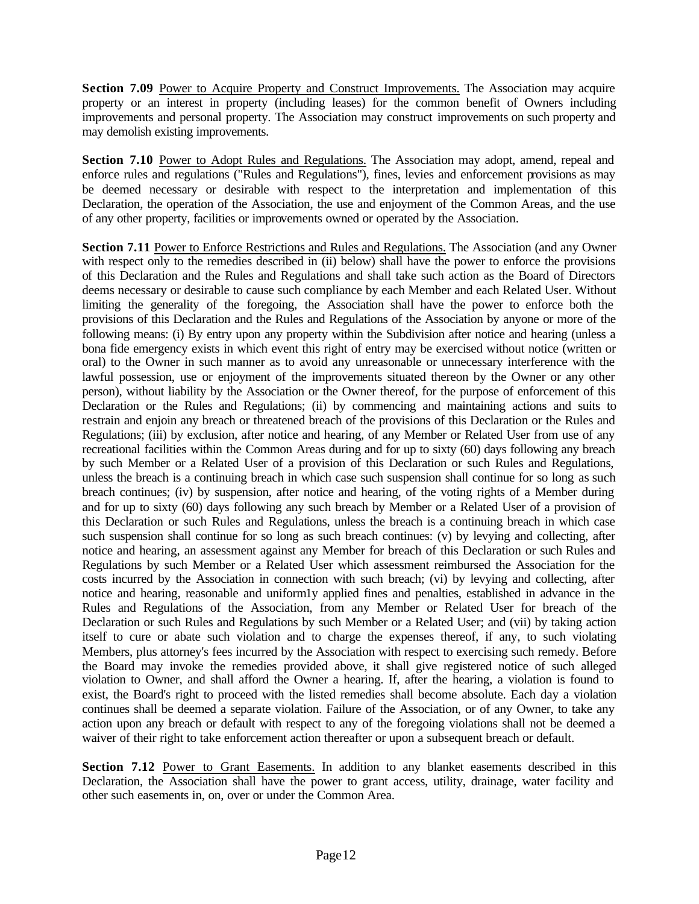**Section 7.09** Power to Acquire Property and Construct Improvements. The Association may acquire property or an interest in property (including leases) for the common benefit of Owners including improvements and personal property. The Association may construct improvements on such property and may demolish existing improvements.

**Section 7.10** Power to Adopt Rules and Regulations. The Association may adopt, amend, repeal and enforce rules and regulations ("Rules and Regulations"), fines, levies and enforcement provisions as may be deemed necessary or desirable with respect to the interpretation and implementation of this Declaration, the operation of the Association, the use and enjoyment of the Common Areas, and the use of any other property, facilities or improvements owned or operated by the Association.

**Section 7.11** Power to Enforce Restrictions and Rules and Regulations. The Association (and any Owner with respect only to the remedies described in (ii) below) shall have the power to enforce the provisions of this Declaration and the Rules and Regulations and shall take such action as the Board of Directors deems necessary or desirable to cause such compliance by each Member and each Related User. Without limiting the generality of the foregoing, the Association shall have the power to enforce both the provisions of this Declaration and the Rules and Regulations of the Association by anyone or more of the following means: (i) By entry upon any property within the Subdivision after notice and hearing (unless a bona fide emergency exists in which event this right of entry may be exercised without notice (written or oral) to the Owner in such manner as to avoid any unreasonable or unnecessary interference with the lawful possession, use or enjoyment of the improvements situated thereon by the Owner or any other person), without liability by the Association or the Owner thereof, for the purpose of enforcement of this Declaration or the Rules and Regulations; (ii) by commencing and maintaining actions and suits to restrain and enjoin any breach or threatened breach of the provisions of this Declaration or the Rules and Regulations; (iii) by exclusion, after notice and hearing, of any Member or Related User from use of any recreational facilities within the Common Areas during and for up to sixty (60) days following any breach by such Member or a Related User of a provision of this Declaration or such Rules and Regulations, unless the breach is a continuing breach in which case such suspension shall continue for so long as such breach continues; (iv) by suspension, after notice and hearing, of the voting rights of a Member during and for up to sixty (60) days following any such breach by Member or a Related User of a provision of this Declaration or such Rules and Regulations, unless the breach is a continuing breach in which case such suspension shall continue for so long as such breach continues: (v) by levying and collecting, after notice and hearing, an assessment against any Member for breach of this Declaration or such Rules and Regulations by such Member or a Related User which assessment reimbursed the Association for the costs incurred by the Association in connection with such breach; (vi) by levying and collecting, after notice and hearing, reasonable and uniform1y applied fines and penalties, established in advance in the Rules and Regulations of the Association, from any Member or Related User for breach of the Declaration or such Rules and Regulations by such Member or a Related User; and (vii) by taking action itself to cure or abate such violation and to charge the expenses thereof, if any, to such violating Members, plus attorney's fees incurred by the Association with respect to exercising such remedy. Before the Board may invoke the remedies provided above, it shall give registered notice of such alleged violation to Owner, and shall afford the Owner a hearing. If, after the hearing, a violation is found to exist, the Board's right to proceed with the listed remedies shall become absolute. Each day a violation continues shall be deemed a separate violation. Failure of the Association, or of any Owner, to take any action upon any breach or default with respect to any of the foregoing violations shall not be deemed a waiver of their right to take enforcement action thereafter or upon a subsequent breach or default.

**Section 7.12** Power to Grant Easements. In addition to any blanket easements described in this Declaration, the Association shall have the power to grant access, utility, drainage, water facility and other such easements in, on, over or under the Common Area.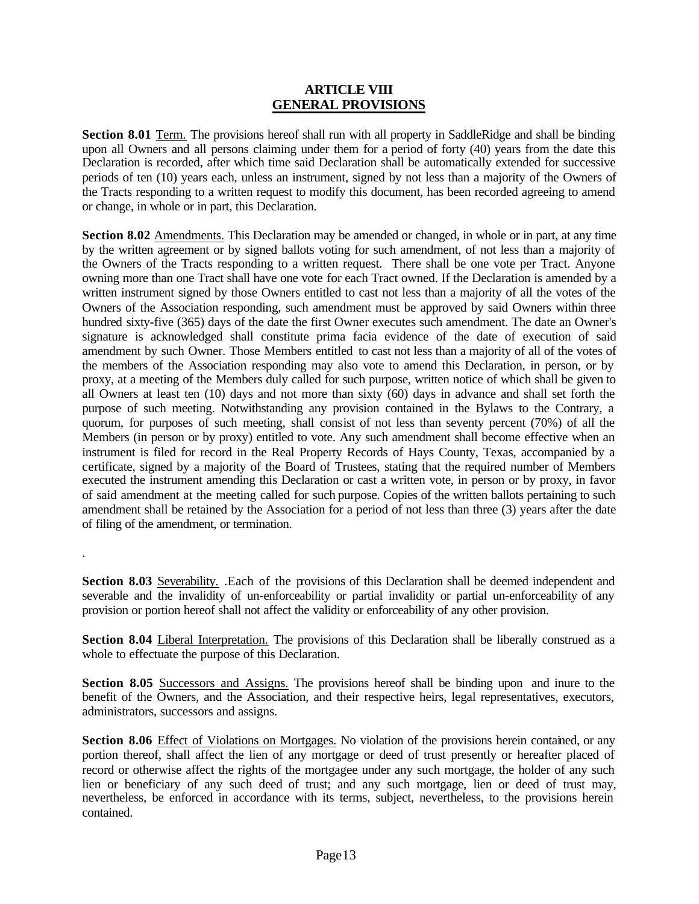### **ARTICLE VIII GENERAL PROVISIONS**

**Section 8.01** Term. The provisions hereof shall run with all property in SaddleRidge and shall be binding upon all Owners and all persons claiming under them for a period of forty (40) years from the date this Declaration is recorded, after which time said Declaration shall be automatically extended for successive periods of ten (10) years each, unless an instrument, signed by not less than a majority of the Owners of the Tracts responding to a written request to modify this document, has been recorded agreeing to amend or change, in whole or in part, this Declaration.

**Section 8.02** Amendments. This Declaration may be amended or changed, in whole or in part, at any time by the written agreement or by signed ballots voting for such amendment, of not less than a majority of the Owners of the Tracts responding to a written request. There shall be one vote per Tract. Anyone owning more than one Tract shall have one vote for each Tract owned. If the Declaration is amended by a written instrument signed by those Owners entitled to cast not less than a majority of all the votes of the Owners of the Association responding, such amendment must be approved by said Owners within three hundred sixty-five (365) days of the date the first Owner executes such amendment. The date an Owner's signature is acknowledged shall constitute prima facia evidence of the date of execution of said amendment by such Owner. Those Members entitled to cast not less than a majority of all of the votes of the members of the Association responding may also vote to amend this Declaration, in person, or by proxy, at a meeting of the Members duly called for such purpose, written notice of which shall be given to all Owners at least ten (10) days and not more than sixty (60) days in advance and shall set forth the purpose of such meeting. Notwithstanding any provision contained in the Bylaws to the Contrary, a quorum, for purposes of such meeting, shall consist of not less than seventy percent (70%) of all the Members (in person or by proxy) entitled to vote. Any such amendment shall become effective when an instrument is filed for record in the Real Property Records of Hays County, Texas, accompanied by a certificate, signed by a majority of the Board of Trustees, stating that the required number of Members executed the instrument amending this Declaration or cast a written vote, in person or by proxy, in favor of said amendment at the meeting called for such purpose. Copies of the written ballots pertaining to such amendment shall be retained by the Association for a period of not less than three (3) years after the date of filing of the amendment, or termination.

**Section 8.03** Severability. .Each of the provisions of this Declaration shall be deemed independent and severable and the invalidity of un-enforceability or partial invalidity or partial un-enforceability of any provision or portion hereof shall not affect the validity or enforceability of any other provision.

.

**Section 8.04** Liberal Interpretation. The provisions of this Declaration shall be liberally construed as a whole to effectuate the purpose of this Declaration.

**Section 8.05** Successors and Assigns. The provisions hereof shall be binding upon and inure to the benefit of the Owners, and the Association, and their respective heirs, legal representatives, executors, administrators, successors and assigns.

**Section 8.06** Effect of Violations on Mortgages. No violation of the provisions herein contained, or any portion thereof, shall affect the lien of any mortgage or deed of trust presently or hereafter placed of record or otherwise affect the rights of the mortgagee under any such mortgage, the holder of any such lien or beneficiary of any such deed of trust; and any such mortgage, lien or deed of trust may, nevertheless, be enforced in accordance with its terms, subject, nevertheless, to the provisions herein contained.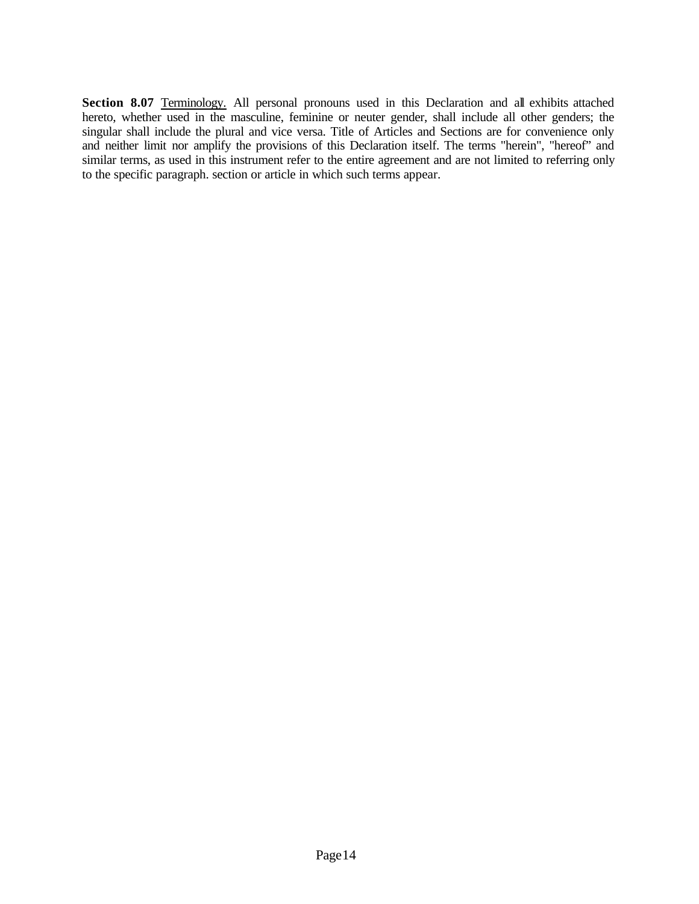Section 8.07 Terminology. All personal pronouns used in this Declaration and all exhibits attached hereto, whether used in the masculine, feminine or neuter gender, shall include all other genders; the singular shall include the plural and vice versa. Title of Articles and Sections are for convenience only and neither limit nor amplify the provisions of this Declaration itself. The terms "herein", "hereof" and similar terms, as used in this instrument refer to the entire agreement and are not limited to referring only to the specific paragraph. section or article in which such terms appear.